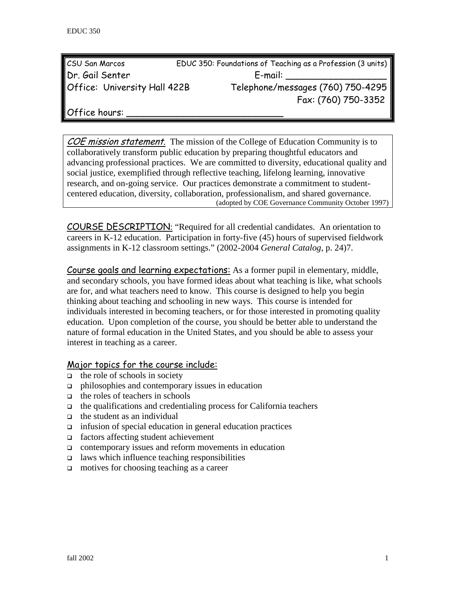| CSU San Marcos               | EDUC 350: Foundations of Teaching as a Profession (3 units) |
|------------------------------|-------------------------------------------------------------|
| Dr. Gail Senter              | E-mail:                                                     |
| Office: University Hall 422B | Telephone/messages (760) 750-4295                           |
|                              | Fax: (760) 750-3352                                         |

Office hours:

COE mission statement. The mission of the College of Education Community is to collaboratively transform public education by preparing thoughtful educators and advancing professional practices. We are committed to diversity, educational quality and social justice, exemplified through reflective teaching, lifelong learning, innovative research, and on-going service. Our practices demonstrate a commitment to studentcentered education, diversity, collaboration, professionalism, and shared governance. (adopted by COE Governance Community October 1997)

COURSE DESCRIPTION: "Required for all credential candidates. An orientation to careers in K-12 education. Participation in forty-five (45) hours of supervised fieldwork assignments in K-12 classroom settings." (2002-2004 *General Catalog*, p. 24)7.

Course goals and learning expectations: As a former pupil in elementary, middle, and secondary schools, you have formed ideas about what teaching is like, what schools are for, and what teachers need to know. This course is designed to help you begin thinking about teaching and schooling in new ways. This course is intended for individuals interested in becoming teachers, or for those interested in promoting quality education. Upon completion of the course, you should be better able to understand the nature of formal education in the United States, and you should be able to assess your interest in teaching as a career.

#### Major topics for the course include:

- $\Box$  the role of schools in society
- $\Box$  philosophies and contemporary issues in education
- $\Box$  the roles of teachers in schools
- $\Box$  the qualifications and credentialing process for California teachers
- $\Box$  the student as an individual
- $\Box$  infusion of special education in general education practices
- factors affecting student achievement
- contemporary issues and reform movements in education
- $\Box$  laws which influence teaching responsibilities
- □ motives for choosing teaching as a career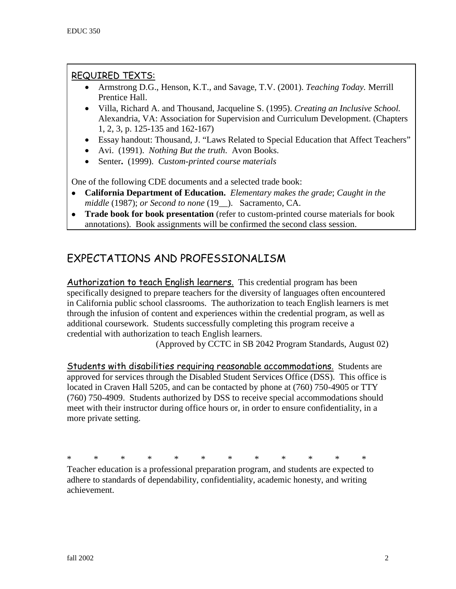## REQUIRED TEXTS:

- Armstrong D.G., Henson, K.T., and Savage, T.V. (2001). *Teaching Today.* Merrill Prentice Hall.
- Villa, Richard A. and Thousand, Jacqueline S. (1995). *Creating an Inclusive School.* Alexandria, VA: Association for Supervision and Curriculum Development. (Chapters 1, 2, 3, p. 125-135 and 162-167)
- Essay handout: Thousand, J. "Laws Related to Special Education that Affect Teachers"
- Avi. (1991). *Nothing But the truth*. Avon Books.
- Senter**.** (1999). *Custom-printed course materials*

One of the following CDE documents and a selected trade book:

- **California Department of Education.** *Elementary makes the grade*; *Caught in the middle* (1987); *or Second to none* (19\_\_). Sacramento, CA.
- **Trade book for book presentation** (refer to custom-printed course materials for book annotations). Book assignments will be confirmed the second class session.

# EXPECTATIONS AND PROFESSIONALISM

Authorization to teach English learners. This credential program has been specifically designed to prepare teachers for the diversity of languages often encountered in California public school classrooms. The authorization to teach English learners is met through the infusion of content and experiences within the credential program, as well as additional coursework. Students successfully completing this program receive a credential with authorization to teach English learners.

(Approved by CCTC in SB 2042 Program Standards, August 02)

Students with disabilities requiring reasonable accommodations. Students are approved for services through the Disabled Student Services Office (DSS). This office is located in Craven Hall 5205, and can be contacted by phone at (760) 750-4905 or TTY (760) 750-4909. Students authorized by DSS to receive special accommodations should meet with their instructor during office hours or, in order to ensure confidentiality, in a more private setting.

\* \* \* \* \* \* \* \* \* \* \* \*

Teacher education is a professional preparation program, and students are expected to adhere to standards of dependability, confidentiality, academic honesty, and writing achievement.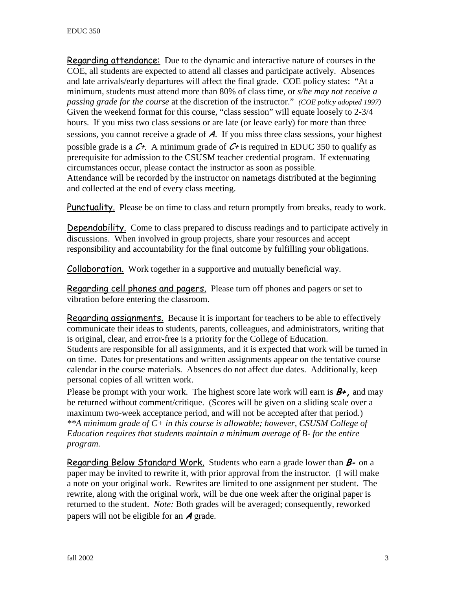Regarding attendance: Due to the dynamic and interactive nature of courses in the COE, all students are expected to attend all classes and participate actively. Absences and late arrivals/early departures will affect the final grade. COE policy states: "At a minimum, students must attend more than 80% of class time, or *s/he may not receive a passing grade for the course* at the discretion of the instructor." *(COE policy adopted 1997)*  Given the weekend format for this course, "class session" will equate loosely to 2-3/4 hours. If you miss two class sessions or are late (or leave early) for more than three sessions, you cannot receive a grade of A. If you miss three class sessions, your highest possible grade is a  $C_{\tau}$ . A minimum grade of  $C_{\tau}$  is required in EDUC 350 to qualify as prerequisite for admission to the CSUSM teacher credential program. If extenuating circumstances occur, please contact the instructor as soon as possible. Attendance will be recorded by the instructor on nametags distributed at the beginning and collected at the end of every class meeting.

Punctuality. Please be on time to class and return promptly from breaks, ready to work.

Dependability. Come to class prepared to discuss readings and to participate actively in discussions. When involved in group projects, share your resources and accept responsibility and accountability for the final outcome by fulfilling your obligations.

Collaboration. Work together in a supportive and mutually beneficial way.

Regarding cell phones and pagers. Please turn off phones and pagers or set to vibration before entering the classroom.

Regarding assignments. Because it is important for teachers to be able to effectively communicate their ideas to students, parents, colleagues, and administrators, writing that is original, clear, and error-free is a priority for the College of Education. Students are responsible for all assignments, and it is expected that work will be turned in on time. Dates for presentations and written assignments appear on the tentative course calendar in the course materials. Absences do not affect due dates. Additionally, keep personal copies of all written work.

Please be prompt with your work. The highest score late work will earn is  $B^+$ , and may be returned without comment/critique. (Scores will be given on a sliding scale over a maximum two-week acceptance period, and will not be accepted after that period.) *\*\*A minimum grade of C+ in this course is allowable; however, CSUSM College of Education requires that students maintain a minimum average of B- for the entire program.*

Regarding Below Standard Work. Students who earn a grade lower than  $B$ - on a paper may be invited to rewrite it, with prior approval from the instructor. (I will make a note on your original work. Rewrites are limited to one assignment per student. The rewrite, along with the original work, will be due one week after the original paper is returned to the student. *Note:* Both grades will be averaged; consequently, reworked papers will not be eligible for an  $\boldsymbol{A}$  grade.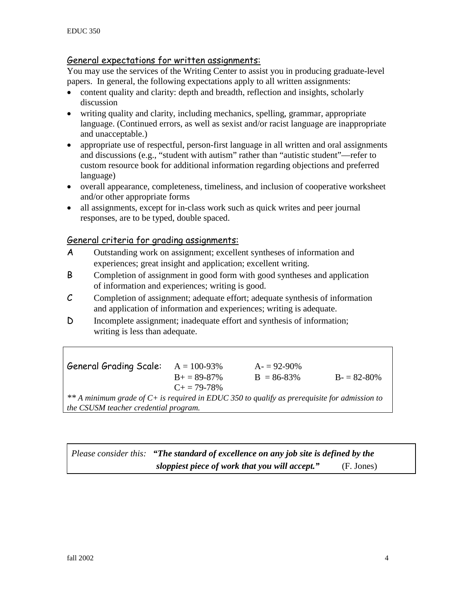#### General expectations for written assignments:

You may use the services of the Writing Center to assist you in producing graduate-level papers. In general, the following expectations apply to all written assignments:

- content quality and clarity: depth and breadth, reflection and insights, scholarly discussion
- writing quality and clarity, including mechanics, spelling, grammar, appropriate language. (Continued errors, as well as sexist and/or racist language are inappropriate and unacceptable.)
- appropriate use of respectful, person-first language in all written and oral assignments and discussions (e.g., "student with autism" rather than "autistic student"—refer to custom resource book for additional information regarding objections and preferred language)
- overall appearance, completeness, timeliness, and inclusion of cooperative worksheet and/or other appropriate forms
- all assignments, except for in-class work such as quick writes and peer journal responses, are to be typed, double spaced.

#### General criteria for grading assignments:

- A Outstanding work on assignment; excellent syntheses of information and experiences; great insight and application; excellent writing.
- B Completion of assignment in good form with good syntheses and application of information and experiences; writing is good.
- C Completion of assignment; adequate effort; adequate synthesis of information and application of information and experiences; writing is adequate.
- D Incomplete assignment; inadequate effort and synthesis of information; writing is less than adequate.

General Grading Scale:  $A = 100-93\%$   $A = 92-90\%$  $B = 89-87\%$  B = 86-83% B = 82-80%  $C_{+} = 79-78%$ *\*\* A minimum grade of C+ is required in EDUC 350 to qualify as prerequisite for admission to the CSUSM teacher credential program.* 

*Please consider this: "The standard of excellence on any job site is defined by the sloppiest piece of work that you will accept."* (F. Jones)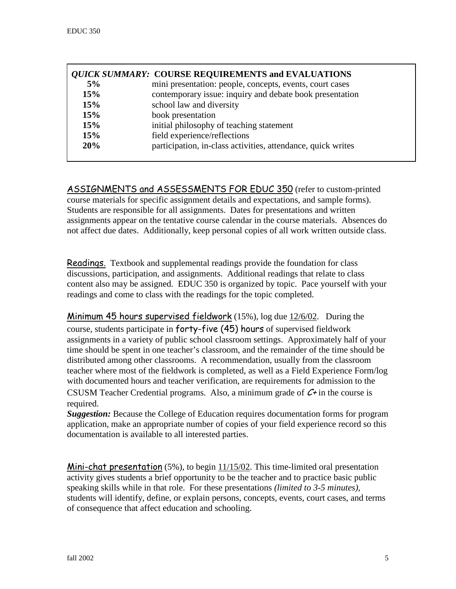| <b><i>QUICK SUMMARY:</i></b> COURSE REQUIREMENTS and EVALUATIONS |                                                              |
|------------------------------------------------------------------|--------------------------------------------------------------|
| 5%                                                               | mini presentation: people, concepts, events, court cases     |
| 15%                                                              | contemporary issue: inquiry and debate book presentation     |
| 15%                                                              | school law and diversity                                     |
| 15%                                                              | book presentation                                            |
| 15%                                                              | initial philosophy of teaching statement                     |
| 15%                                                              | field experience/reflections                                 |
| 20%                                                              | participation, in-class activities, attendance, quick writes |

ASSIGNMENTS and ASSESSMENTS FOR EDUC 350 (refer to custom-printed course materials for specific assignment details and expectations, and sample forms). Students are responsible for all assignments. Dates for presentations and written assignments appear on the tentative course calendar in the course materials. Absences do not affect due dates. Additionally, keep personal copies of all work written outside class.

Readings.Textbook and supplemental readings provide the foundation for class discussions, participation, and assignments. Additional readings that relate to class content also may be assigned. EDUC 350 is organized by topic. Pace yourself with your readings and come to class with the readings for the topic completed.

**Minimum 45 hours supervised fieldwork** (15%), log due  $12/6/02$ . During the course, students participate in forty-five (45) hours of supervised fieldwork assignments in a variety of public school classroom settings. Approximately half of your time should be spent in one teacher's classroom, and the remainder of the time should be distributed among other classrooms. A recommendation, usually from the classroom teacher where most of the fieldwork is completed, as well as a Field Experience Form/log with documented hours and teacher verification, are requirements for admission to the

CSUSM Teacher Credential programs. Also, a minimum grade of  $C^+$  in the course is required.

*Suggestion:* Because the College of Education requires documentation forms for program application, make an appropriate number of copies of your field experience record so this documentation is available to all interested parties.

Mini-chat presentation (5%), to begin 11/15/02. This time-limited oral presentation activity gives students a brief opportunity to be the teacher and to practice basic public speaking skills while in that role. For these presentations *(limited to 3-5 minutes),* students will identify, define, or explain persons, concepts, events, court cases, and terms of consequence that affect education and schooling.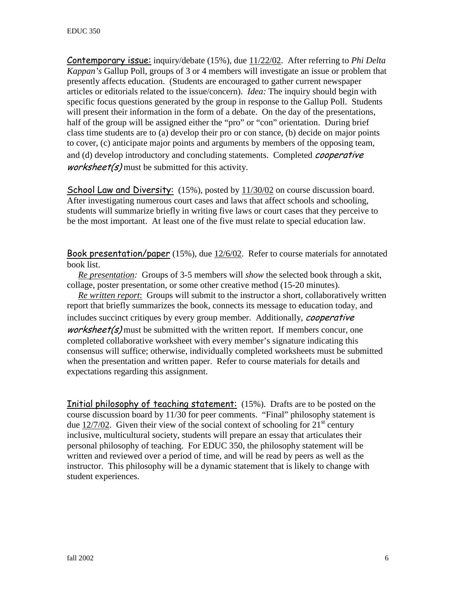Contemporary issue: inquiry/debate (15%), due 11/22/02. After referring to *Phi Delta Kappan's* Gallup Poll, groups of 3 or 4 members will investigate an issue or problem that presently affects education. (Students are encouraged to gather current newspaper articles or editorials related to the issue/concern). *Idea:* The inquiry should begin with specific focus questions generated by the group in response to the Gallup Poll. Students will present their information in the form of a debate. On the day of the presentations, half of the group will be assigned either the "pro" or "con" orientation. During brief class time students are to (a) develop their pro or con stance, (b) decide on major points to cover, (c) anticipate major points and arguments by members of the opposing team, and (d) develop introductory and concluding statements. Completed *cooperative worksheet(s)* must be submitted for this activity.

School Law and Diversity: (15%), posted by  $11/30/02$  on course discussion board. After investigating numerous court cases and laws that affect schools and schooling, students will summarize briefly in writing five laws or court cases that they perceive to be the most important. At least one of the five must relate to special education law.

Book presentation/paper (15%), due 12/6/02. Refer to course materials for annotated book list.

 *Re presentation:* Groups of 3-5 members will *show* the selected book through a skit, collage, poster presentation, or some other creative method (15-20 minutes).

 *Re written report*: Groups will submit to the instructor a short, collaboratively written report that briefly summarizes the book, connects its message to education today, and includes succinct critiques by every group member. Additionally, *cooperative worksheet(s)* must be submitted with the written report. If members concur, one completed collaborative worksheet with every member's signature indicating this consensus will suffice; otherwise, individually completed worksheets must be submitted when the presentation and written paper. Refer to course materials for details and expectations regarding this assignment.

**Initial philosophy of teaching statement:** (15%). Drafts are to be posted on the course discussion board by 11/30 for peer comments. "Final" philosophy statement is due 12/7/02. Given their view of the social context of schooling for  $21<sup>st</sup>$  century inclusive, multicultural society, students will prepare an essay that articulates their personal philosophy of teaching. For EDUC 350, the philosophy statement will be written and reviewed over a period of time, and will be read by peers as well as the instructor. This philosophy will be a dynamic statement that is likely to change with student experiences.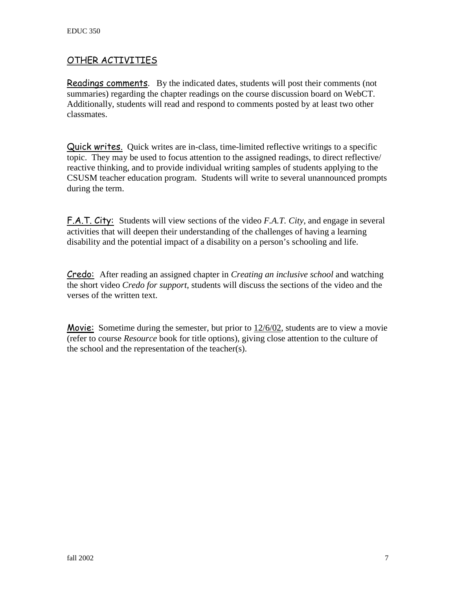## OTHER ACTIVITIES

Readings comments. By the indicated dates, students will post their comments (not summaries) regarding the chapter readings on the course discussion board on WebCT. Additionally, students will read and respond to comments posted by at least two other classmates.

Quick writes. Quick writes are in-class, time-limited reflective writings to a specific topic. They may be used to focus attention to the assigned readings, to direct reflective/ reactive thinking, and to provide individual writing samples of students applying to the CSUSM teacher education program. Students will write to several unannounced prompts during the term.

F.A.T. City: Students will view sections of the video *F.A.T. City*, and engage in several activities that will deepen their understanding of the challenges of having a learning disability and the potential impact of a disability on a person's schooling and life.

Credo: After reading an assigned chapter in *Creating an inclusive school* and watching the short video *Credo for support*, students will discuss the sections of the video and the verses of the written text.

Movie: Sometime during the semester, but prior to 12/6/02, students are to view a movie (refer to course *Resource* book for title options), giving close attention to the culture of the school and the representation of the teacher(s).